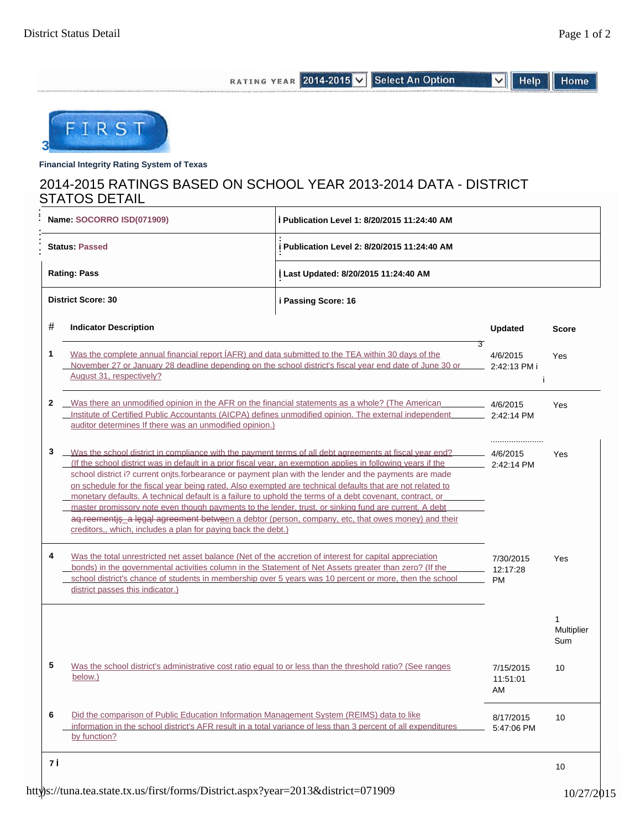Home

RATING YEAR 2014-2015 V Select An Option Help  $\overline{\mathsf{v}}$ 

FIRST **3**

**Financial Integrity Rating System of Texas**

# 2014-2015 RATINGS BASED ON SCHOOL YEAR 2013-2014 DATA - DISTRICT STATOS DETAIL

| Name: SOCORRO ISD(071909) |                                                                                                                                                                                                                                                                                                                                                                                                                                                                                                                                                                                                                                                                                                                                                                                                                                            | Publication Level 1: 8/20/2015 11:24:40 AM   |                        |                   |  |  |  |
|---------------------------|--------------------------------------------------------------------------------------------------------------------------------------------------------------------------------------------------------------------------------------------------------------------------------------------------------------------------------------------------------------------------------------------------------------------------------------------------------------------------------------------------------------------------------------------------------------------------------------------------------------------------------------------------------------------------------------------------------------------------------------------------------------------------------------------------------------------------------------------|----------------------------------------------|------------------------|-------------------|--|--|--|
|                           | <b>Status: Passed</b>                                                                                                                                                                                                                                                                                                                                                                                                                                                                                                                                                                                                                                                                                                                                                                                                                      | i Publication Level 2: 8/20/2015 11:24:40 AM |                        |                   |  |  |  |
|                           | <b>Rating: Pass</b>                                                                                                                                                                                                                                                                                                                                                                                                                                                                                                                                                                                                                                                                                                                                                                                                                        | Last Updated: 8/20/2015 11:24:40 AM          |                        |                   |  |  |  |
|                           | <b>District Score: 30</b>                                                                                                                                                                                                                                                                                                                                                                                                                                                                                                                                                                                                                                                                                                                                                                                                                  | i Passing Score: 16                          |                        |                   |  |  |  |
| #                         | <b>Indicator Description</b>                                                                                                                                                                                                                                                                                                                                                                                                                                                                                                                                                                                                                                                                                                                                                                                                               |                                              | <b>Updated</b>         | <b>Score</b>      |  |  |  |
| 1                         | Was the complete annual financial report (AFR) and data submitted to the TEA within 30 days of the<br>November 27 or January 28 deadline depending on the school district's fiscal year end date of June 30 or<br>August 31, respectively?                                                                                                                                                                                                                                                                                                                                                                                                                                                                                                                                                                                                 | З<br>4/6/2015<br>2:42:13 PM i                | Yes                    |                   |  |  |  |
| 2                         | Was there an unmodified opinion in the AFR on the financial statements as a whole? (The American<br>Institute of Certified Public Accountants (AICPA) defines unmodified opinion. The external independent<br>auditor determines If there was an unmodified opinion.)                                                                                                                                                                                                                                                                                                                                                                                                                                                                                                                                                                      |                                              | 4/6/2015<br>2:42:14 PM | Yes               |  |  |  |
| 3                         | Was the school district in compliance with the payment terms of all debt agreements at fiscal year end?<br>(If the school district was in default in a prior fiscal year, an exemption applies in following years if the<br>school district i? current onjts.forbearance or payment plan with the lender and the payments are made<br>on schedule for the fiscal year being rated. Also exempted are technical defaults that are not related to<br>monetary defaults. A technical default is a failure to uphold the terms of a debt covenant, contract, or<br>master promissory note even though payments to the lender, trust, or sinking fund are current. A debt<br>aq.reementj _a   g   agreement between a debtor (person, company, etc, that owes money) and their<br>creditors,, which, includes a plan for paying back the debt.) | 4/6/2015<br>2:42:14 PM                       | Yes                    |                   |  |  |  |
| 4                         | Was the total unrestricted net asset balance (Net of the accretion of interest for capital appreciation<br>bonds) in the governmental activities column in the Statement of Net Assets greater than zero? (If the<br>school district's chance of students in membership over 5 years was 10 percent or more, then the school<br>district passes this indicator.)                                                                                                                                                                                                                                                                                                                                                                                                                                                                           | 7/30/2015<br>12:17:28<br><b>PM</b>           | Yes                    |                   |  |  |  |
|                           |                                                                                                                                                                                                                                                                                                                                                                                                                                                                                                                                                                                                                                                                                                                                                                                                                                            |                                              |                        | Multiplier<br>Sum |  |  |  |
| 5                         | Was the school district's administrative cost ratio equal to or less than the threshold ratio? (See ranges<br><u>below.)</u>                                                                                                                                                                                                                                                                                                                                                                                                                                                                                                                                                                                                                                                                                                               | 7/15/2015<br>11:51:01<br>AM                  | 10                     |                   |  |  |  |
| 6                         | Did the comparison of Public Education Information Management System (REIMS) data to like<br>information in the school district's AFR result in a total variance of less than 3 percent of all expenditures<br>by function?                                                                                                                                                                                                                                                                                                                                                                                                                                                                                                                                                                                                                | 8/17/2015<br>5:47:06 PM                      | 10                     |                   |  |  |  |
| 7                         |                                                                                                                                                                                                                                                                                                                                                                                                                                                                                                                                                                                                                                                                                                                                                                                                                                            |                                              |                        | 10                |  |  |  |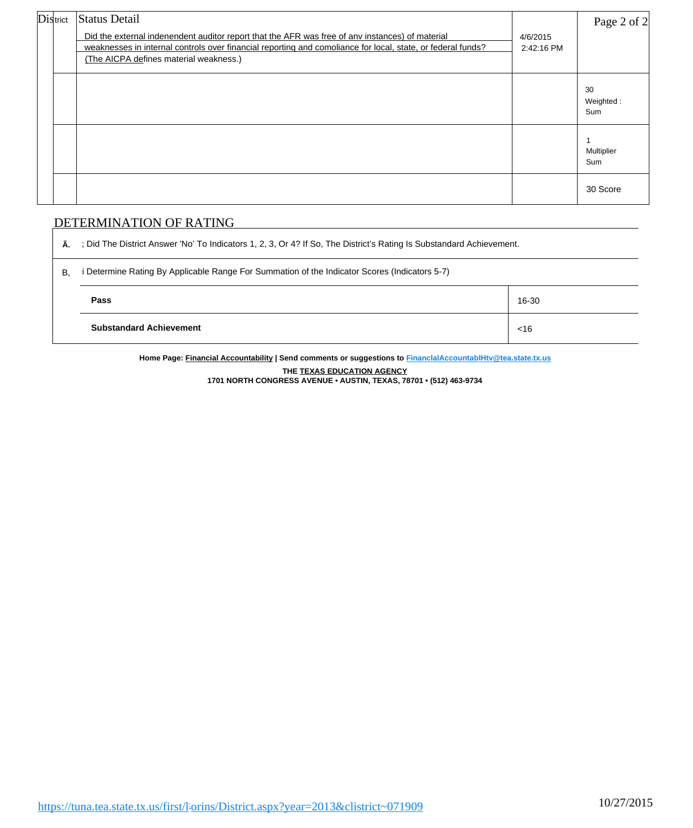| District | <b>Status Detail</b><br>Did the external indenendent auditor report that the AFR was free of any instances) of material<br>weaknesses in internal controls over financial reporting and comoliance for local, state, or federal funds?<br>(The AICPA defines material weakness.) | 4/6/2015<br>2:42:16 PM | Page 2 of 2            |
|----------|----------------------------------------------------------------------------------------------------------------------------------------------------------------------------------------------------------------------------------------------------------------------------------|------------------------|------------------------|
|          |                                                                                                                                                                                                                                                                                  |                        | 30<br>Weighted:<br>Sum |
|          |                                                                                                                                                                                                                                                                                  |                        | Multiplier<br>Sum      |
|          |                                                                                                                                                                                                                                                                                  |                        | 30 Score               |

## DETERMINATION OF RATING

**Ã.** ; Did The District Answer 'No' To Indicators 1, 2, 3, Or 4? If So, The District's Rating Is Substandard Achievement.

| $\mathsf{B}$ | i Determine Rating By Applicable Range For Summation of the Indicator Scores (Indicators 5-7) |        |  |  |  |  |  |
|--------------|-----------------------------------------------------------------------------------------------|--------|--|--|--|--|--|
|              | Pass                                                                                          | 16-30  |  |  |  |  |  |
|              | <b>Substandard Achievement</b>                                                                | $<$ 16 |  |  |  |  |  |

**Home Page: Financial Accountability | Send comments or suggestions to [FinanclalAccountablHtv@tea.state.tx.us](mailto:FinanclalAccountablHtv@tea.state.tx.us) THE TEXAS EDUCATION AGENCY**

**1701 NORTH CONGRESS AVENUE • AUSTIN, TEXAS, 78701 • (512) 463-9734**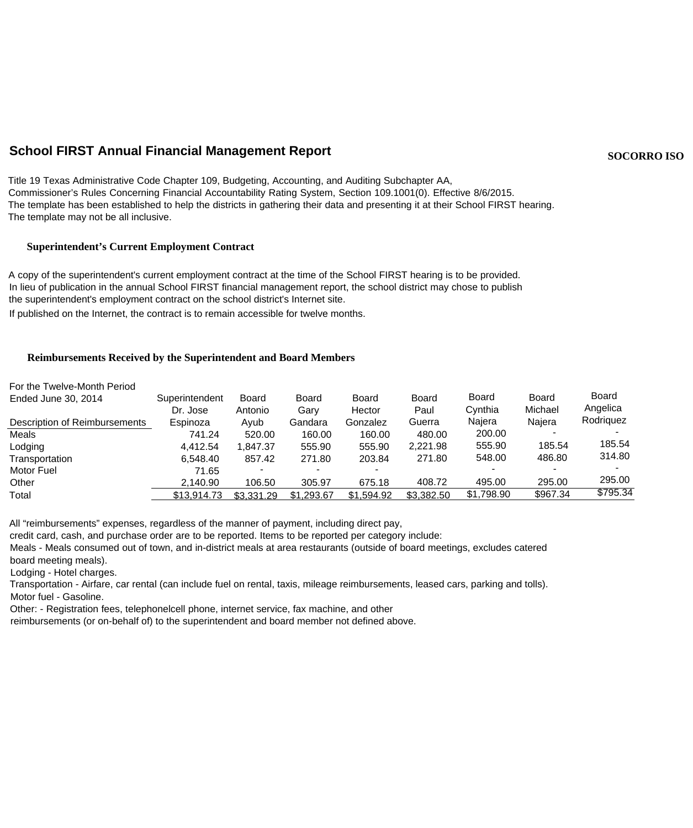# **School FIRST Annual Financial Management Report SOCOR ISO** SOCORRO ISO

Title 19 Texas Administrative Code Chapter 109, Budgeting, Accounting, and Auditing Subchapter AA, Commissioner's Rules Concerning Financial Accountability Rating System, Section 109.1001(0). Effective 8/6/2015. The template has been established to help the districts in gathering their data and presenting it at their School FIRST hearing. The template may not be all inclusive.

#### **Superintendent's Current Employment Contract**

A copy of the superintendent's current employment contract at the time of the School FIRST hearing is to be provided. In lieu of publication in the annual School FIRST financial management report, the school district may chose to publish the superintendent's employment contract on the school district's Internet site. If published on the Internet, the contract is to remain accessible for twelve months.

#### **Reimbursements Received by the Superintendent and Board Members**

| For the Twelve-Month Period   |                |            |              |            |            |              |              |              |
|-------------------------------|----------------|------------|--------------|------------|------------|--------------|--------------|--------------|
| Ended June 30, 2014           | Superintendent | Board      | <b>Board</b> | Board      | Board      | <b>Board</b> | <b>Board</b> | <b>Board</b> |
|                               | Dr. Jose       | Antonio    | Garv         | Hector     | Paul       | Cvnthia      | Michael      | Angelica     |
| Description of Reimbursements | Espinoza       | Avub       | Gandara      | Gonzalez   | Guerra     | Najera       | Najera       | Rodriguez    |
| Meals                         | 741.24         | 520.00     | 160.00       | 160.00     | 480.00     | 200.00       |              |              |
| Lodging                       | 4.412.54       | 1.847.37   | 555.90       | 555.90     | 2.221.98   | 555.90       | 185.54       | 185.54       |
| Transportation                | 6.548.40       | 857.42     | 271.80       | 203.84     | 271.80     | 548.00       | 486.80       | 314.80       |
| <b>Motor Fuel</b>             | 71.65          |            |              |            |            |              |              |              |
| Other                         | 2.140.90       | 106.50     | 305.97       | 675.18     | 408.72     | 495.00       | 295.00       | 295.00       |
| Total                         | \$13,914.73    | \$3,331,29 | \$1,293.67   | \$1,594.92 | \$3,382.50 | \$1,798.90   | \$967.34     | \$795.34     |

All "reimbursements" expenses, regardless of the manner of payment, including direct pay,

credit card, cash, and purchase order are to be reported. Items to be reported per category include:

Meals - Meals consumed out of town, and in-district meals at area restaurants (outside of board meetings, excludes catered board meeting meals).

Lodging - Hotel charges.

Transportation - Airfare, car rental (can include fuel on rental, taxis, mileage reimbursements, leased cars, parking and tolls).

Motor fuel - Gasoline.

Other: - Registration fees, telephonelcell phone, internet service, fax machine, and other

reimbursements (or on-behalf of) to the superintendent and board member not defined above.